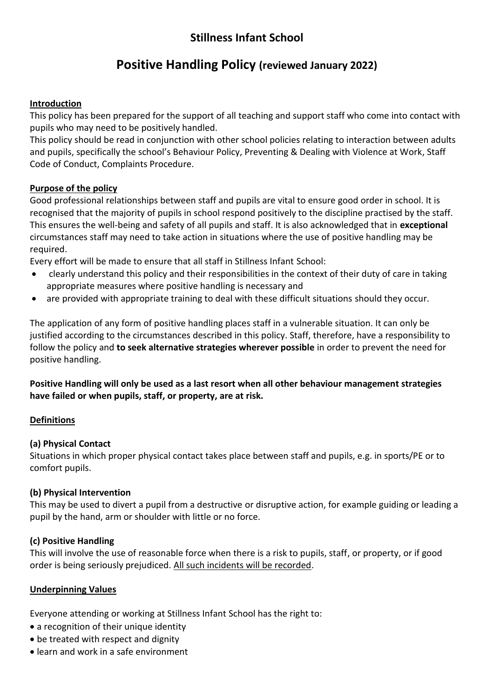# **Stillness Infant School**

# **Positive Handling Policy (reviewed January 2022)**

## **Introduction**

This policy has been prepared for the support of all teaching and support staff who come into contact with pupils who may need to be positively handled.

This policy should be read in conjunction with other school policies relating to interaction between adults and pupils, specifically the school's Behaviour Policy, Preventing & Dealing with Violence at Work, Staff Code of Conduct, Complaints Procedure.

## **Purpose of the policy**

Good professional relationships between staff and pupils are vital to ensure good order in school. It is recognised that the majority of pupils in school respond positively to the discipline practised by the staff. This ensures the well-being and safety of all pupils and staff. It is also acknowledged that in **exceptional** circumstances staff may need to take action in situations where the use of positive handling may be required.

Every effort will be made to ensure that all staff in Stillness Infant School:

- clearly understand this policy and their responsibilities in the context of their duty of care in taking appropriate measures where positive handling is necessary and
- are provided with appropriate training to deal with these difficult situations should they occur.

The application of any form of positive handling places staff in a vulnerable situation. It can only be justified according to the circumstances described in this policy. Staff, therefore, have a responsibility to follow the policy and **to seek alternative strategies wherever possible** in order to prevent the need for positive handling.

**Positive Handling will only be used as a last resort when all other behaviour management strategies have failed or when pupils, staff, or property, are at risk.**

## **Definitions**

## **(a) Physical Contact**

Situations in which proper physical contact takes place between staff and pupils, e.g. in sports/PE or to comfort pupils.

## **(b) Physical Intervention**

This may be used to divert a pupil from a destructive or disruptive action, for example guiding or leading a pupil by the hand, arm or shoulder with little or no force.

## **(c) Positive Handling**

This will involve the use of reasonable force when there is a risk to pupils, staff, or property, or if good order is being seriously prejudiced. All such incidents will be recorded.

## **Underpinning Values**

Everyone attending or working at Stillness Infant School has the right to:

- a recognition of their unique identity
- be treated with respect and dignity
- learn and work in a safe environment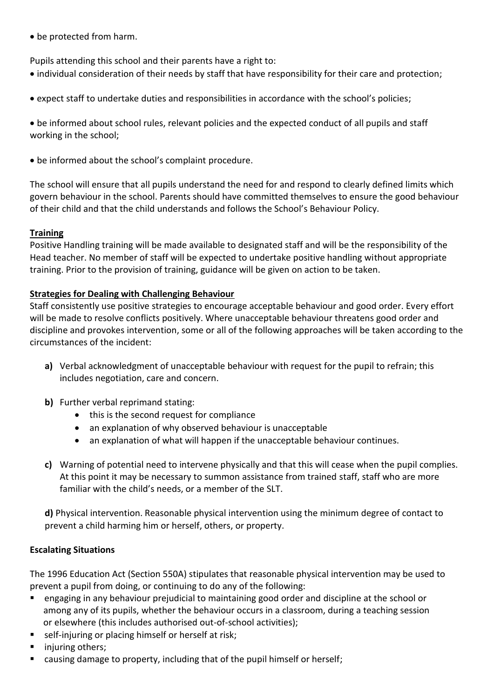be protected from harm.

Pupils attending this school and their parents have a right to:

- individual consideration of their needs by staff that have responsibility for their care and protection;
- expect staff to undertake duties and responsibilities in accordance with the school's policies;

 be informed about school rules, relevant policies and the expected conduct of all pupils and staff working in the school;

be informed about the school's complaint procedure.

The school will ensure that all pupils understand the need for and respond to clearly defined limits which govern behaviour in the school. Parents should have committed themselves to ensure the good behaviour of their child and that the child understands and follows the School's Behaviour Policy.

## **Training**

Positive Handling training will be made available to designated staff and will be the responsibility of the Head teacher. No member of staff will be expected to undertake positive handling without appropriate training. Prior to the provision of training, guidance will be given on action to be taken.

## **Strategies for Dealing with Challenging Behaviour**

Staff consistently use positive strategies to encourage acceptable behaviour and good order. Every effort will be made to resolve conflicts positively. Where unacceptable behaviour threatens good order and discipline and provokes intervention, some or all of the following approaches will be taken according to the circumstances of the incident:

- **a)** Verbal acknowledgment of unacceptable behaviour with request for the pupil to refrain; this includes negotiation, care and concern.
- **b)** Further verbal reprimand stating:
	- this is the second request for compliance
	- an explanation of why observed behaviour is unacceptable
	- an explanation of what will happen if the unacceptable behaviour continues.
- **c)** Warning of potential need to intervene physically and that this will cease when the pupil complies. At this point it may be necessary to summon assistance from trained staff, staff who are more familiar with the child's needs, or a member of the SLT.

**d)** Physical intervention. Reasonable physical intervention using the minimum degree of contact to prevent a child harming him or herself, others, or property.

## **Escalating Situations**

The 1996 Education Act (Section 550A) stipulates that reasonable physical intervention may be used to prevent a pupil from doing, or continuing to do any of the following:

- engaging in any behaviour prejudicial to maintaining good order and discipline at the school or among any of its pupils, whether the behaviour occurs in a classroom, during a teaching session or elsewhere (this includes authorised out-of-school activities);
- self-injuring or placing himself or herself at risk;
- injuring others;
- causing damage to property, including that of the pupil himself or herself;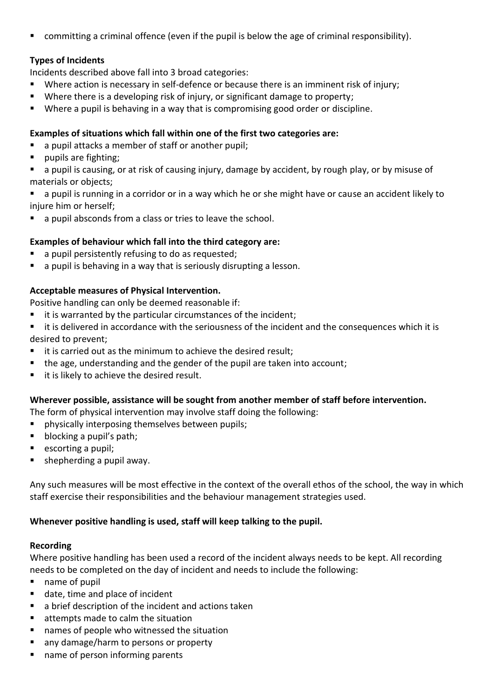committing a criminal offence (even if the pupil is below the age of criminal responsibility).

## **Types of Incidents**

Incidents described above fall into 3 broad categories:

- Where action is necessary in self-defence or because there is an imminent risk of injury;
- Where there is a developing risk of injury, or significant damage to property;
- Where a pupil is behaving in a way that is compromising good order or discipline.

#### **Examples of situations which fall within one of the first two categories are:**

- a pupil attacks a member of staff or another pupil;
- pupils are fighting;

 a pupil is causing, or at risk of causing injury, damage by accident, by rough play, or by misuse of materials or objects;

- a pupil is running in a corridor or in a way which he or she might have or cause an accident likely to injure him or herself;
- a pupil absconds from a class or tries to leave the school.

#### **Examples of behaviour which fall into the third category are:**

- a pupil persistently refusing to do as requested;
- a pupil is behaving in a way that is seriously disrupting a lesson.

## **Acceptable measures of Physical Intervention.**

Positive handling can only be deemed reasonable if:

- $\blacksquare$  it is warranted by the particular circumstances of the incident;
- **EXTER** it is delivered in accordance with the seriousness of the incident and the consequences which it is desired to prevent;
- it is carried out as the minimum to achieve the desired result;
- the age, understanding and the gender of the pupil are taken into account;
- it is likely to achieve the desired result.

#### **Wherever possible, assistance will be sought from another member of staff before intervention.**

The form of physical intervention may involve staff doing the following:

- physically interposing themselves between pupils;
- **blocking a pupil's path;**
- $\blacksquare$  escorting a pupil;
- shepherding a pupil away.

Any such measures will be most effective in the context of the overall ethos of the school, the way in which staff exercise their responsibilities and the behaviour management strategies used.

#### **Whenever positive handling is used, staff will keep talking to the pupil.**

#### **Recording**

Where positive handling has been used a record of the incident always needs to be kept. All recording needs to be completed on the day of incident and needs to include the following:

- name of pupil
- date, time and place of incident
- a brief description of the incident and actions taken
- attempts made to calm the situation
- names of people who witnessed the situation
- any damage/harm to persons or property
- name of person informing parents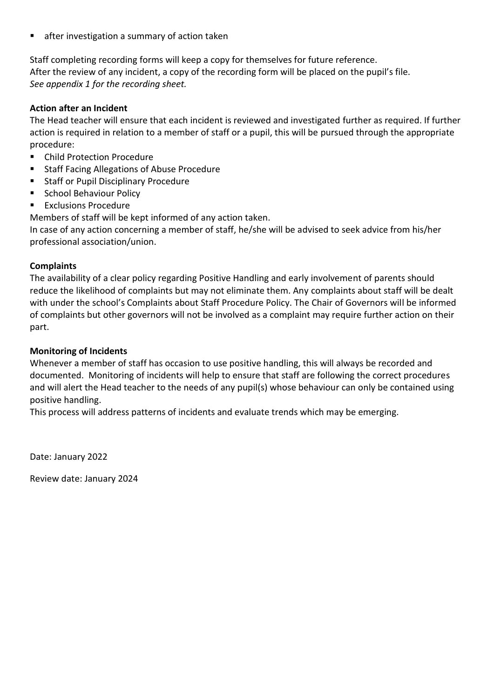after investigation a summary of action taken

Staff completing recording forms will keep a copy for themselves for future reference. After the review of any incident, a copy of the recording form will be placed on the pupil's file. *See appendix 1 for the recording sheet.*

#### **Action after an Incident**

The Head teacher will ensure that each incident is reviewed and investigated further as required. If further action is required in relation to a member of staff or a pupil, this will be pursued through the appropriate procedure:

- Child Protection Procedure
- Staff Facing Allegations of Abuse Procedure
- Staff or Pupil Disciplinary Procedure
- School Behaviour Policy
- Exclusions Procedure

Members of staff will be kept informed of any action taken.

In case of any action concerning a member of staff, he/she will be advised to seek advice from his/her professional association/union.

#### **Complaints**

The availability of a clear policy regarding Positive Handling and early involvement of parents should reduce the likelihood of complaints but may not eliminate them. Any complaints about staff will be dealt with under the school's Complaints about Staff Procedure Policy. The Chair of Governors will be informed of complaints but other governors will not be involved as a complaint may require further action on their part.

#### **Monitoring of Incidents**

Whenever a member of staff has occasion to use positive handling, this will always be recorded and documented. Monitoring of incidents will help to ensure that staff are following the correct procedures and will alert the Head teacher to the needs of any pupil(s) whose behaviour can only be contained using positive handling.

This process will address patterns of incidents and evaluate trends which may be emerging.

Date: January 2022

Review date: January 2024